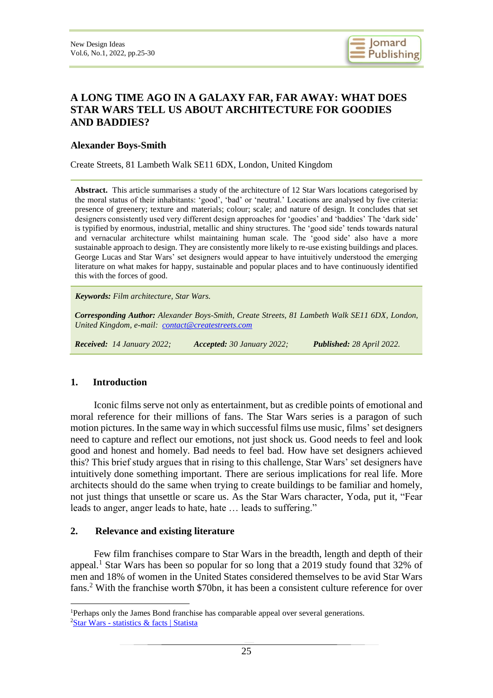

# **A LONG TIME AGO IN A GALAXY FAR, FAR AWAY: WHAT DOES STAR WARS TELL US ABOUT ARCHITECTURE FOR GOODIES AND BADDIES?**

#### **Alexander Boys-Smith**

Create Streets, 81 Lambeth Walk SE11 6DX, London, United Kingdom

**Abstract.** This article summarises a study of the architecture of 12 Star Wars locations categorised by the moral status of their inhabitants: 'good', 'bad' or 'neutral.' Locations are analysed by five criteria: presence of greenery; texture and materials; colour; scale; and nature of design. It concludes that set designers consistently used very different design approaches for 'goodies' and 'baddies' The 'dark side' is typified by enormous, industrial, metallic and shiny structures. The 'good side' tends towards natural and vernacular architecture whilst maintaining human scale. The 'good side' also have a more sustainable approach to design. They are consistently more likely to re-use existing buildings and places. George Lucas and Star Wars' set designers would appear to have intuitively understood the emerging literature on what makes for happy, sustainable and popular places and to have continuously identified this with the forces of good.

*Keywords: Film architecture, Star Wars.*

*Corresponding Author: Alexander Boys-Smith, Create Streets, 81 Lambeth Walk SE11 6DX, London, United Kingdom, e-mail: [contact@createstreets.com](mailto:contact@createstreets.com)*

*Received: 14 January 2022; Accepted: 30 January 2022; Published: 28 April 2022.*

#### **1. Introduction**

<u>.</u>

Iconic films serve not only as entertainment, but as credible points of emotional and moral reference for their millions of fans. The Star Wars series is a paragon of such motion pictures. In the same way in which successful films use music, films' set designers need to capture and reflect our emotions, not just shock us. Good needs to feel and look good and honest and homely. Bad needs to feel bad. How have set designers achieved this? This brief study argues that in rising to this challenge, Star Wars' set designers have intuitively done something important. There are serious implications for real life. More architects should do the same when trying to create buildings to be familiar and homely, not just things that unsettle or scare us. As the Star Wars character, Yoda, put it, "Fear leads to anger, anger leads to hate, hate … leads to suffering."

#### **2. Relevance and existing literature**

Few film franchises compare to Star Wars in the breadth, length and depth of their appeal.<sup>1</sup> Star Wars has been so popular for so long that a 2019 study found that 32% of men and 18% of women in the United States considered themselves to be avid Star Wars fans.<sup>2</sup> With the franchise worth \$70bn, it has been a consistent culture reference for over

<sup>&</sup>lt;sup>1</sup>Perhaps only the James Bond franchise has comparable appeal over several generations. <sup>2</sup>Star Wars - statistics [& facts | Statista](https://www.statista.com/topics/4362/star-wars/)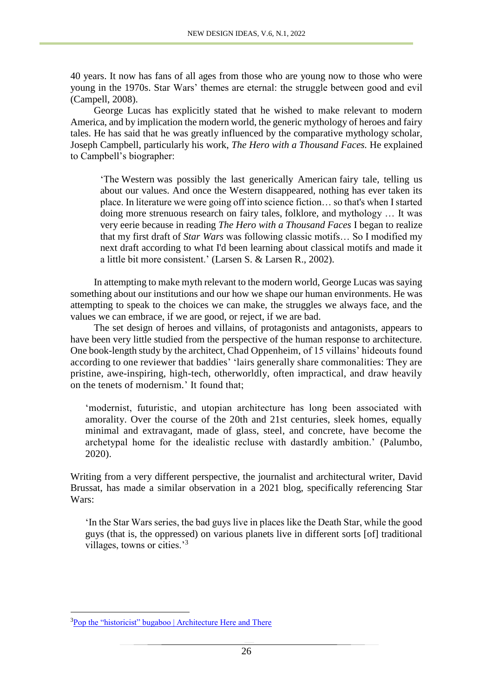40 years. It now has fans of all ages from those who are young now to those who were young in the 1970s. Star Wars' themes are eternal: the struggle between good and evil (Campell, 2008).

George Lucas has explicitly stated that he wished to make relevant to modern America, and by implication the modern world, the generic mythology of heroes and fairy tales. He has said that he was greatly influenced by the comparative mythology scholar, Joseph Campbell, particularly his work, *The Hero with a Thousand Faces.* He explained to Campbell's biographer:

'The Western was possibly the last generically American fairy tale, telling us about our values. And once the Western disappeared, nothing has ever taken its place. In literature we were going off into science fiction… so that's when I started doing more strenuous research on fairy tales, folklore, and mythology … It was very eerie because in reading *The Hero with a Thousand Faces* I began to realize that my first draft of *Star Wars* was following classic motifs… So I modified my next draft according to what I'd been learning about classical motifs and made it a little bit more consistent.' (Larsen S. & Larsen R., 2002).

In attempting to make myth relevant to the modern world, George Lucas was saying something about our institutions and our how we shape our human environments. He was attempting to speak to the choices we can make, the struggles we always face, and the values we can embrace, if we are good, or reject, if we are bad.

The set design of heroes and villains, of protagonists and antagonists, appears to have been very little studied from the perspective of the human response to architecture. One book-length study by the architect, Chad Oppenheim, of 15 villains' hideouts found according to one reviewer that baddies' 'lairs generally share commonalities: They are pristine, awe-inspiring, high-tech, otherworldly, often impractical, and draw heavily on the tenets of modernism.' It found that;

'modernist, futuristic, and utopian architecture has long been associated with amorality. Over the course of the 20th and 21st centuries, sleek homes, equally minimal and extravagant, made of glass, steel, and concrete, have become the archetypal home for the idealistic recluse with dastardly ambition.' (Palumbo, 2020).

Writing from a very different perspective, the journalist and architectural writer, David Brussat, has made a similar observation in a 2021 blog, specifically referencing Star Wars:

'In the Star Wars series, the bad guys live in places like the Death Star, while the good guys (that is, the oppressed) on various planets live in different sorts [of] traditional villages, towns or cities.'<sup>3</sup>

1

<sup>&</sup>lt;sup>3</sup>[Pop the "historicist" bugaboo | Architecture Here and There](https://architecturehereandthere.com/2021/04/25/pop-the-historicist-bugaboo/)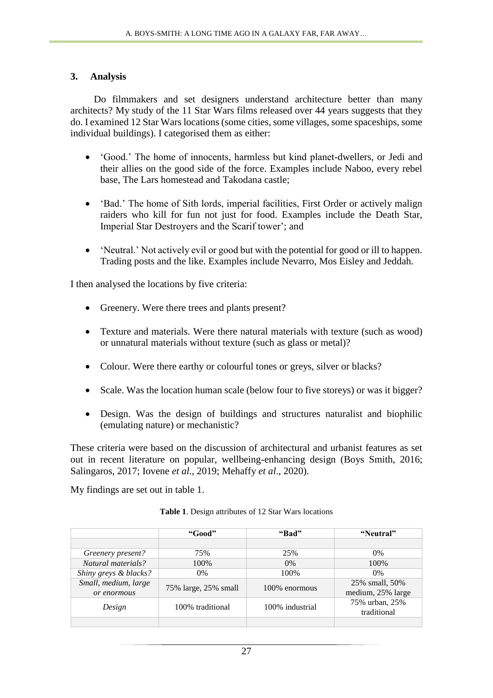### **3. Analysis**

Do filmmakers and set designers understand architecture better than many architects? My study of the 11 Star Wars films released over 44 years suggests that they do. I examined 12 Star Wars locations (some cities, some villages, some spaceships, some individual buildings). I categorised them as either:

- 'Good.' The home of innocents, harmless but kind planet-dwellers, or Jedi and their allies on the good side of the force. Examples include Naboo, every rebel base, The Lars homestead and Takodana castle;
- 'Bad.' The home of Sith lords, imperial facilities, First Order or actively malign raiders who kill for fun not just for food. Examples include the Death Star, Imperial Star Destroyers and the Scarif tower'; and
- 'Neutral.' Not actively evil or good but with the potential for good or ill to happen. Trading posts and the like. Examples include Nevarro, Mos Eisley and Jeddah.

I then analysed the locations by five criteria:

- Greenery. Were there trees and plants present?
- Texture and materials. Were there natural materials with texture (such as wood) or unnatural materials without texture (such as glass or metal)?
- Colour. Were there earthy or colourful tones or greys, silver or blacks?
- Scale. Was the location human scale (below four to five storeys) or was it bigger?
- Design. Was the design of buildings and structures naturalist and biophilic (emulating nature) or mechanistic?

These criteria were based on the discussion of architectural and urbanist features as set out in recent literature on popular, wellbeing-enhancing design (Boys Smith, 2016; Salingaros, 2017; Iovene *et al.,* 2019; Mehaffy *et al*., 2020).

My findings are set out in table 1.

|                                     | "Good"               | "Bad"           | "Neutral"                           |
|-------------------------------------|----------------------|-----------------|-------------------------------------|
|                                     |                      |                 |                                     |
| Greenery present?                   | 75%                  | 25%             | $0\%$                               |
| Natural materials?                  | 100%                 | $0\%$           | 100%                                |
| Shiny greys & blacks?               | $0\%$                | 100\%           | $0\%$                               |
| Small, medium, large<br>or enormous | 75% large, 25% small | 100\% enormous  | 25% small, 50%<br>medium, 25% large |
| Design                              | 100% traditional     | 100% industrial | 75% urban, 25%<br>traditional       |
|                                     |                      |                 |                                     |

**Table 1**. Design attributes of 12 Star Wars locations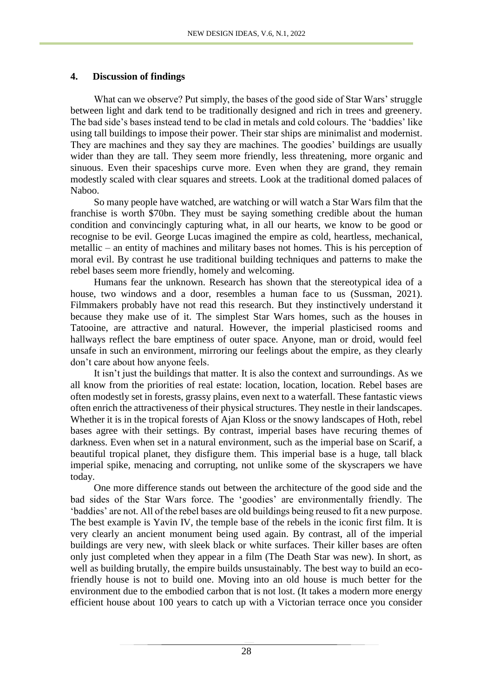### **4. Discussion of findings**

What can we observe? Put simply, the bases of the good side of Star Wars' struggle between light and dark tend to be traditionally designed and rich in trees and greenery. The bad side's bases instead tend to be clad in metals and cold colours. The 'baddies' like using tall buildings to impose their power. Their star ships are minimalist and modernist. They are machines and they say they are machines. The goodies' buildings are usually wider than they are tall. They seem more friendly, less threatening, more organic and sinuous. Even their spaceships curve more. Even when they are grand, they remain modestly scaled with clear squares and streets. Look at the traditional domed palaces of Naboo.

So many people have watched, are watching or will watch a Star Wars film that the franchise is worth \$70bn. They must be saying something credible about the human condition and convincingly capturing what, in all our hearts, we know to be good or recognise to be evil. George Lucas imagined the empire as cold, heartless, mechanical, metallic – an entity of machines and military bases not homes. This is his perception of moral evil. By contrast he use traditional building techniques and patterns to make the rebel bases seem more friendly, homely and welcoming.

Humans fear the unknown. Research has shown that the stereotypical idea of a house, two windows and a door, resembles a human face to us (Sussman, 2021). Filmmakers probably have not read this research. But they instinctively understand it because they make use of it. The simplest Star Wars homes, such as the houses in Tatooine, are attractive and natural. However, the imperial plasticised rooms and hallways reflect the bare emptiness of outer space. Anyone, man or droid, would feel unsafe in such an environment, mirroring our feelings about the empire, as they clearly don't care about how anyone feels.

It isn't just the buildings that matter. It is also the context and surroundings. As we all know from the priorities of real estate: location, location, location. Rebel bases are often modestly set in forests, grassy plains, even next to a waterfall. These fantastic views often enrich the attractiveness of their physical structures. They nestle in their landscapes. Whether it is in the tropical forests of Ajan Kloss or the snowy landscapes of Hoth, rebel bases agree with their settings. By contrast, imperial bases have recuring themes of darkness. Even when set in a natural environment, such as the imperial base on Scarif, a beautiful tropical planet, they disfigure them. This imperial base is a huge, tall black imperial spike, menacing and corrupting, not unlike some of the skyscrapers we have today.

One more difference stands out between the architecture of the good side and the bad sides of the Star Wars force. The 'goodies' are environmentally friendly. The 'baddies' are not. All of the rebel bases are old buildings being reused to fit a new purpose. The best example is Yavin IV, the temple base of the rebels in the iconic first film. It is very clearly an ancient monument being used again. By contrast, all of the imperial buildings are very new, with sleek black or white surfaces. Their killer bases are often only just completed when they appear in a film (The Death Star was new). In short, as well as building brutally, the empire builds unsustainably. The best way to build an ecofriendly house is not to build one. Moving into an old house is much better for the environment due to the embodied carbon that is not lost. (It takes a modern more energy efficient house about 100 years to catch up with a Victorian terrace once you consider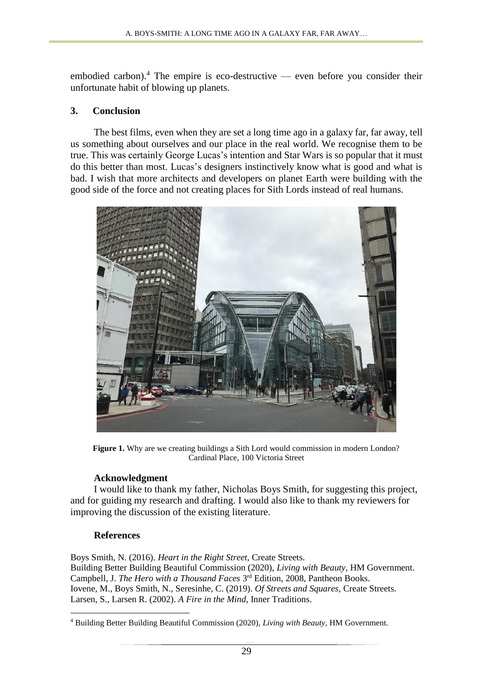embodied carbon).<sup>4</sup> The empire is eco-destructive — even before you consider their unfortunate habit of blowing up planets.

## **3. Conclusion**

The best films, even when they are set a long time ago in a galaxy far, far away, tell us something about ourselves and our place in the real world. We recognise them to be true. This was certainly George Lucas's intention and Star Wars is so popular that it must do this better than most. Lucas's designers instinctively know what is good and what is bad. I wish that more architects and developers on planet Earth were building with the good side of the force and not creating places for Sith Lords instead of real humans.



**Figure 1.** Why are we creating buildings a Sith Lord would commission in modern London? Cardinal Place, 100 Victoria Street

### **Acknowledgment**

I would like to thank my father, Nicholas Boys Smith, for suggesting this project, and for guiding my research and drafting. I would also like to thank my reviewers for improving the discussion of the existing literature.

### **References**

Boys Smith, N. (2016). *Heart in the Right Street,* Create Streets. Building Better Building Beautiful Commission (2020), *Living with Beauty*, HM Government. Campbell, J. *The Hero with a Thousand Faces* 3<sup>rd</sup> Edition, 2008, Pantheon Books. Iovene, M., Boys Smith, N., Seresinhe, C. (2019). *Of Streets and Squares,* Create Streets. Larsen, S., Larsen R. (2002). *A Fire in the Mind*, Inner Traditions.

<sup>1</sup> <sup>4</sup> Building Better Building Beautiful Commission (2020), *Living with Beauty*, HM Government.